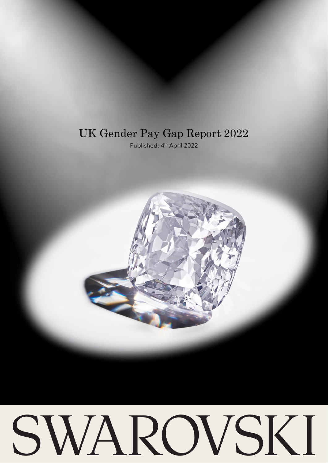# UK Gender Pay Gap Report 2022

Published: 4<sup>th</sup> April 2022



# SWAROVSKI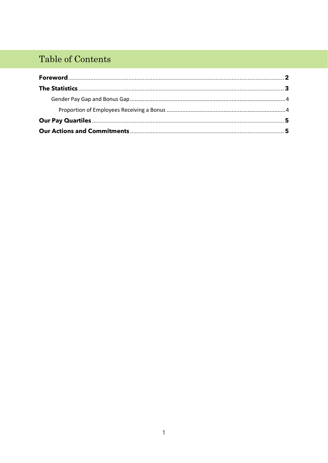# Table of Contents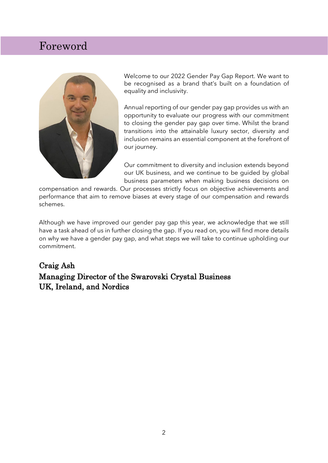## Foreword



Welcome to our 2022 Gender Pay Gap Report. We want to be recognised as a brand that's built on a foundation of equality and inclusivity.

Annual reporting of our gender pay gap provides us with an opportunity to evaluate our progress with our commitment to closing the gender pay gap over time. Whilst the brand transitions into the attainable luxury sector, diversity and inclusion remains an essential component at the forefront of our journey.

Our commitment to diversity and inclusion extends beyond our UK business, and we continue to be guided by global business parameters when making business decisions on

compensation and rewards. Our processes strictly focus on objective achievements and performance that aim to remove biases at every stage of our compensation and rewards schemes.

Although we have improved our gender pay gap this year, we acknowledge that we still have a task ahead of us in further closing the gap. If you read on, you will find more details on why we have a gender pay gap, and what steps we will take to continue upholding our commitment.

### Craig Ash Managing Director of the Swarovski Crystal Business UK, Ireland, and Nordics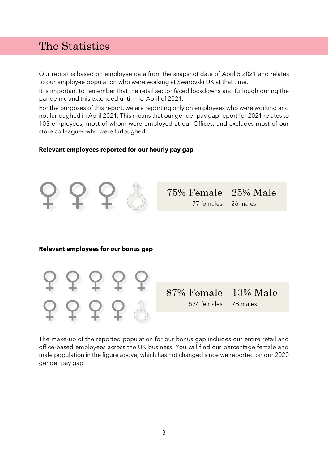## The Statistics

Our report is based on employee data from the snapshot date of April 5 2021 and relates to our employee population who were working at Swarovski UK at that time.

It is important to remember that the retail sector faced lockdowns and furlough during the pandemic and this extended until mid-April of 2021.

For the purposes of this report, we are reporting only on employees who were working and not furloughed in April 2021. This means that our gender pay gap report for 2021 relates to 103 employees, most of whom were employed at our Offices, and excludes most of our store colleagues who were furloughed.

#### **Relevant employees reported for our hourly pay gap**



#### **Relevant employees for our bonus gap**



The make-up of the reported population for our bonus gap includes our entire retail and office-based employees across the UK business. You will find our percentage female and male population in the figure above, which has not changed since we reported on our 2020 gender pay gap.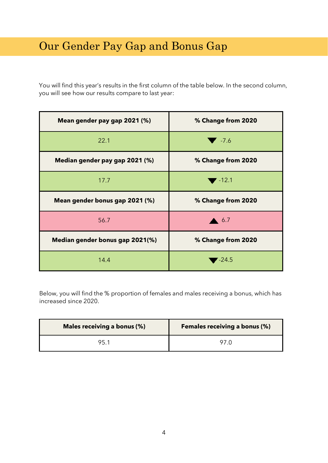# Our Gender Pay Gap and Bonus Gap

You will find this year's results in the first column of the table below. In the second column, you will see how our results compare to last year:

| Mean gender pay gap 2021 (%)    | % Change from 2020        |
|---------------------------------|---------------------------|
| 22.1                            | $\blacktriangledown$ -7.6 |
| Median gender pay gap 2021 (%)  | % Change from 2020        |
| 17.7                            | $-12.1$                   |
| Mean gender bonus gap 2021 (%)  | % Change from 2020        |
| 56.7                            | 6.7                       |
| Median gender bonus gap 2021(%) | % Change from 2020        |
| 14.4                            | $-24.5$                   |

Below, you will find the % proportion of females and males receiving a bonus, which has increased since 2020.

| Males receiving a bonus (%) | <b>Females receiving a bonus (%)</b> |
|-----------------------------|--------------------------------------|
| 95.1                        | 97 C                                 |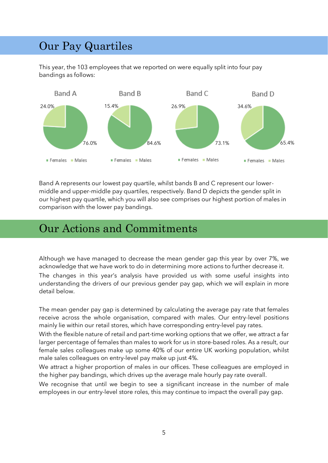# Our Pay Quartiles

This year, the 103 employees that we reported on were equally split into four pay bandings as follows:



Band A represents our lowest pay quartile, whilst bands B and C represent our lowermiddle and upper-middle pay quartiles, respectively. Band D depicts the gender split in our highest pay quartile, which you will also see comprises our highest portion of males in comparison with the lower pay bandings.

## Our Actions and Commitments

Although we have managed to decrease the mean gender gap this year by over 7%, we acknowledge that we have work to do in determining more actions to further decrease it. The changes in this year's analysis have provided us with some useful insights into understanding the drivers of our previous gender pay gap, which we will explain in more detail below.

The mean gender pay gap is determined by calculating the average pay rate that females receive across the whole organisation, compared with males. Our entry-level positions mainly lie within our retail stores, which have corresponding entry-level pay rates.

With the flexible nature of retail and part-time working options that we offer, we attract a far larger percentage of females than males to work for us in store-based roles. As a result, our female sales colleagues make up some 40% of our entire UK working population, whilst male sales colleagues on entry-level pay make up just 4%.

We attract a higher proportion of males in our offices. These colleagues are employed in the higher pay bandings, which drives up the average male hourly pay rate overall.

We recognise that until we begin to see a significant increase in the number of male employees in our entry-level store roles, this may continue to impact the overall pay gap.